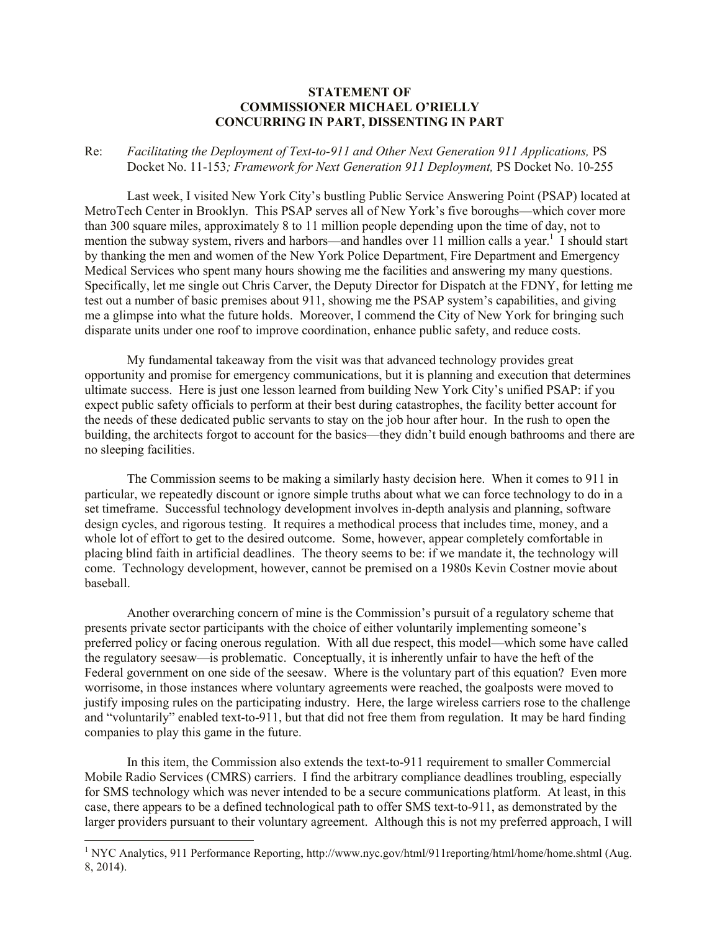## **STATEMENT OF COMMISSIONER MICHAEL O'RIELLY CONCURRING IN PART, DISSENTING IN PART**

## Re: *Facilitating the Deployment of Text-to-911 and Other Next Generation 911 Applications,* PS Docket No. 11-153*; Framework for Next Generation 911 Deployment,* PS Docket No. 10-255

Last week, I visited New York City's bustling Public Service Answering Point (PSAP) located at MetroTech Center in Brooklyn. This PSAP serves all of New York's five boroughs—which cover more than 300 square miles, approximately 8 to 11 million people depending upon the time of day, not to mention the subway system, rivers and harbors—and handles over 11 million calls a year.<sup>1</sup> I should start by thanking the men and women of the New York Police Department, Fire Department and Emergency Medical Services who spent many hours showing me the facilities and answering my many questions. Specifically, let me single out Chris Carver, the Deputy Director for Dispatch at the FDNY, for letting me test out a number of basic premises about 911, showing me the PSAP system's capabilities, and giving me a glimpse into what the future holds. Moreover, I commend the City of New York for bringing such disparate units under one roof to improve coordination, enhance public safety, and reduce costs.

My fundamental takeaway from the visit was that advanced technology provides great opportunity and promise for emergency communications, but it is planning and execution that determines ultimate success. Here is just one lesson learned from building New York City's unified PSAP: if you expect public safety officials to perform at their best during catastrophes, the facility better account for the needs of these dedicated public servants to stay on the job hour after hour. In the rush to open the building, the architects forgot to account for the basics—they didn't build enough bathrooms and there are no sleeping facilities.

The Commission seems to be making a similarly hasty decision here. When it comes to 911 in particular, we repeatedly discount or ignore simple truths about what we can force technology to do in a set timeframe. Successful technology development involves in-depth analysis and planning, software design cycles, and rigorous testing. It requires a methodical process that includes time, money, and a whole lot of effort to get to the desired outcome. Some, however, appear completely comfortable in placing blind faith in artificial deadlines. The theory seems to be: if we mandate it, the technology will come. Technology development, however, cannot be premised on a 1980s Kevin Costner movie about baseball.

Another overarching concern of mine is the Commission's pursuit of a regulatory scheme that presents private sector participants with the choice of either voluntarily implementing someone's preferred policy or facing onerous regulation. With all due respect, this model—which some have called the regulatory seesaw—is problematic. Conceptually, it is inherently unfair to have the heft of the Federal government on one side of the seesaw. Where is the voluntary part of this equation? Even more worrisome, in those instances where voluntary agreements were reached, the goalposts were moved to justify imposing rules on the participating industry. Here, the large wireless carriers rose to the challenge and "voluntarily" enabled text-to-911, but that did not free them from regulation. It may be hard finding companies to play this game in the future.

In this item, the Commission also extends the text-to-911 requirement to smaller Commercial Mobile Radio Services (CMRS) carriers. I find the arbitrary compliance deadlines troubling, especially for SMS technology which was never intended to be a secure communications platform. At least, in this case, there appears to be a defined technological path to offer SMS text-to-911, as demonstrated by the larger providers pursuant to their voluntary agreement. Although this is not my preferred approach, I will

l

<sup>&</sup>lt;sup>1</sup> NYC Analytics, 911 Performance Reporting, http://www.nyc.gov/html/911reporting/html/home/home.shtml (Aug. 8, 2014).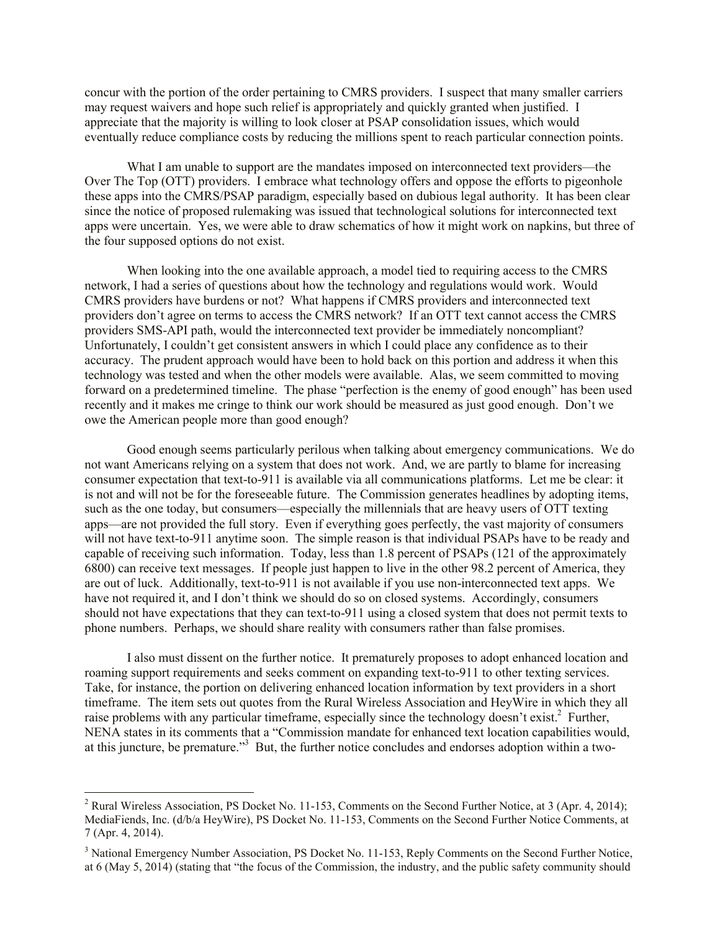concur with the portion of the order pertaining to CMRS providers. I suspect that many smaller carriers may request waivers and hope such relief is appropriately and quickly granted when justified. I appreciate that the majority is willing to look closer at PSAP consolidation issues, which would eventually reduce compliance costs by reducing the millions spent to reach particular connection points.

What I am unable to support are the mandates imposed on interconnected text providers—the Over The Top (OTT) providers. I embrace what technology offers and oppose the efforts to pigeonhole these apps into the CMRS/PSAP paradigm, especially based on dubious legal authority. It has been clear since the notice of proposed rulemaking was issued that technological solutions for interconnected text apps were uncertain. Yes, we were able to draw schematics of how it might work on napkins, but three of the four supposed options do not exist.

When looking into the one available approach, a model tied to requiring access to the CMRS network, I had a series of questions about how the technology and regulations would work. Would CMRS providers have burdens or not? What happens if CMRS providers and interconnected text providers don't agree on terms to access the CMRS network? If an OTT text cannot access the CMRS providers SMS-API path, would the interconnected text provider be immediately noncompliant? Unfortunately, I couldn't get consistent answers in which I could place any confidence as to their accuracy. The prudent approach would have been to hold back on this portion and address it when this technology was tested and when the other models were available. Alas, we seem committed to moving forward on a predetermined timeline. The phase "perfection is the enemy of good enough" has been used recently and it makes me cringe to think our work should be measured as just good enough. Don't we owe the American people more than good enough?

Good enough seems particularly perilous when talking about emergency communications. We do not want Americans relying on a system that does not work. And, we are partly to blame for increasing consumer expectation that text-to-911 is available via all communications platforms. Let me be clear: it is not and will not be for the foreseeable future. The Commission generates headlines by adopting items, such as the one today, but consumers—especially the millennials that are heavy users of OTT texting apps—are not provided the full story. Even if everything goes perfectly, the vast majority of consumers will not have text-to-911 anytime soon. The simple reason is that individual PSAPs have to be ready and capable of receiving such information. Today, less than 1.8 percent of PSAPs (121 of the approximately 6800) can receive text messages. If people just happen to live in the other 98.2 percent of America, they are out of luck. Additionally, text-to-911 is not available if you use non-interconnected text apps. We have not required it, and I don't think we should do so on closed systems. Accordingly, consumers should not have expectations that they can text-to-911 using a closed system that does not permit texts to phone numbers. Perhaps, we should share reality with consumers rather than false promises.

I also must dissent on the further notice. It prematurely proposes to adopt enhanced location and roaming support requirements and seeks comment on expanding text-to-911 to other texting services. Take, for instance, the portion on delivering enhanced location information by text providers in a short timeframe. The item sets out quotes from the Rural Wireless Association and HeyWire in which they all raise problems with any particular timeframe, especially since the technology doesn't exist.<sup>2</sup> Further, NENA states in its comments that a "Commission mandate for enhanced text location capabilities would, at this juncture, be premature."<sup>3</sup> But, the further notice concludes and endorses adoption within a two-

l

<sup>&</sup>lt;sup>2</sup> Rural Wireless Association, PS Docket No. 11-153, Comments on the Second Further Notice, at 3 (Apr. 4, 2014); MediaFiends, Inc. (d/b/a HeyWire), PS Docket No. 11-153, Comments on the Second Further Notice Comments, at 7 (Apr. 4, 2014).

<sup>&</sup>lt;sup>3</sup> National Emergency Number Association, PS Docket No. 11-153, Reply Comments on the Second Further Notice, at 6 (May 5, 2014) (stating that "the focus of the Commission, the industry, and the public safety community should